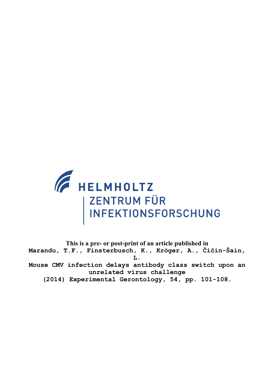

**This is a pre- or post-print of an article published in Marandu, T.F., Finsterbusch, K., Kröger, A., Čičin-Šain, L. Mouse CMV infection delays antibody class switch upon an unrelated virus challenge (2014) Experimental Gerontology, 54, pp. 101-108.**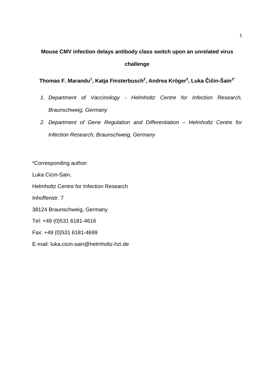# **Mouse CMV infection delays antibody class switch upon an unrelated virus challenge**

**Thomas F. Marandu<sup>1</sup> , Katja Finsterbusch<sup>2</sup> , Andrea Kröger<sup>2</sup> , Luka Čičin-Šain1\***

- 1. Department of Vaccinology Helmholtz Centre for Infection Research, Braunschweig, Germany
- 2. Department of Gene Regulation and Differentiation Helmholtz Centre for Infection Research, Braunschweig, Germany

\*Corresponding author:

Luka Cicin-Sain,

Helmholtz Centre for Infection Research

Inhoffenstr. 7

38124 Braunschweig, Germany

Tel: +49 (0)531 6181-4616

Fax: +49 (0)531 6181-4699

E-mail: luka.cicin-sain@helmholtz-hzi.de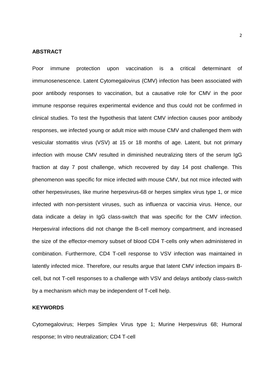#### **ABSTRACT**

Poor immune protection upon vaccination is a critical determinant of immunosenescence. Latent Cytomegalovirus (CMV) infection has been associated with poor antibody responses to vaccination, but a causative role for CMV in the poor immune response requires experimental evidence and thus could not be confirmed in clinical studies. To test the hypothesis that latent CMV infection causes poor antibody responses, we infected young or adult mice with mouse CMV and challenged them with vesicular stomatitis virus (VSV) at 15 or 18 months of age. Latent, but not primary infection with mouse CMV resulted in diminished neutralizing titers of the serum IgG fraction at day 7 post challenge, which recovered by day 14 post challenge. This phenomenon was specific for mice infected with mouse CMV, but not mice infected with other herpesviruses, like murine herpesvirus-68 or herpes simplex virus type 1, or mice infected with non-persistent viruses, such as influenza or vaccinia virus. Hence, our data indicate a delay in IgG class-switch that was specific for the CMV infection. Herpesviral infections did not change the B-cell memory compartment, and increased the size of the effector-memory subset of blood CD4 T-cells only when administered in combination. Furthermore, CD4 T-cell response to VSV infection was maintained in latently infected mice. Therefore, our results argue that latent CMV infection impairs Bcell, but not T-cell responses to a challenge with VSV and delays antibody class-switch by a mechanism which may be independent of T-cell help.

# **KEYWORDS**

Cytomegalovirus; Herpes Simplex Virus type 1; Murine Herpesvirus 68; Humoral response; In vitro neutralization; CD4 T-cell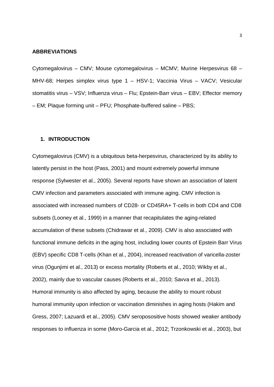#### **ABBREVIATIONS**

Cytomegalovirus – CMV; Mouse cytomegalovirus – MCMV; Murine Herpesvirus 68 – MHV-68; Herpes simplex virus type 1 – HSV-1; Vaccinia Virus – VACV; Vesicular stomatitis virus – VSV; Influenza virus – Flu; Epstein-Barr virus – EBV; Effector memory – EM; Plaque forming unit – PFU; Phosphate-buffered saline – PBS;

#### **1. INTRODUCTION**

Cytomegalovirus (CMV) is a ubiquitous beta-herpesvirus, characterized by its ability to latently persist in the host (Pass, 2001) and mount extremely powerful immune response (Sylwester et al., 2005). Several reports have shown an association of latent CMV infection and parameters associated with immune aging. CMV infection is associated with increased numbers of CD28- or CD45RA+ T-cells in both CD4 and CD8 subsets (Looney et al., 1999) in a manner that recapitulates the aging-related accumulation of these subsets (Chidrawar et al., 2009). CMV is also associated with functional immune deficits in the aging host, including lower counts of Epstein Barr Virus (EBV) specific CD8 T-cells (Khan et al., 2004), increased reactivation of varicella-zoster virus (Ogunjimi et al., 2013) or excess mortality (Roberts et al., 2010; Wikby et al., 2002), mainly due to vascular causes (Roberts et al., 2010; Savva et al., 2013). Humoral immunity is also affected by aging, because the ability to mount robust humoral immunity upon infection or vaccination diminishes in aging hosts (Hakim and Gress, 2007; Lazuardi et al., 2005). CMV seroposositive hosts showed weaker antibody responses to influenza in some (Moro-Garcia et al., 2012; Trzonkowski et al., 2003), but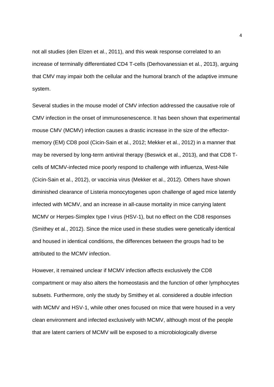not all studies (den Elzen et al., 2011), and this weak response correlated to an increase of terminally differentiated CD4 T-cells (Derhovanessian et al., 2013), arguing that CMV may impair both the cellular and the humoral branch of the adaptive immune system.

Several studies in the mouse model of CMV infection addressed the causative role of CMV infection in the onset of immunosenescence. It has been shown that experimental mouse CMV (MCMV) infection causes a drastic increase in the size of the effectormemory (EM) CD8 pool (Cicin-Sain et al., 2012; Mekker et al., 2012) in a manner that may be reversed by long-term antiviral therapy (Beswick et al., 2013), and that CD8 Tcells of MCMV-infected mice poorly respond to challenge with influenza, West-Nile (Cicin-Sain et al., 2012), or vaccinia virus (Mekker et al., 2012). Others have shown diminished clearance of Listeria monocytogenes upon challenge of aged mice latently infected with MCMV, and an increase in all-cause mortality in mice carrying latent MCMV or Herpes-Simplex type I virus (HSV-1), but no effect on the CD8 responses (Smithey et al., 2012). Since the mice used in these studies were genetically identical and housed in identical conditions, the differences between the groups had to be attributed to the MCMV infection.

However, it remained unclear if MCMV infection affects exclusively the CD8 compartment or may also alters the homeostasis and the function of other lymphocytes subsets. Furthermore, only the study by Smithey et al. considered a double infection with MCMV and HSV-1, while other ones focused on mice that were housed in a very clean environment and infected exclusively with MCMV, although most of the people that are latent carriers of MCMV will be exposed to a microbiologically diverse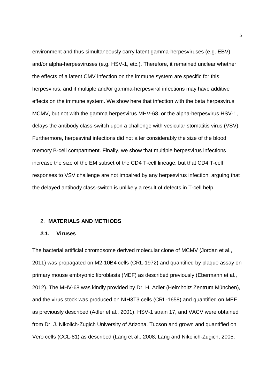environment and thus simultaneously carry latent gamma-herpesviruses (e.g. EBV) and/or alpha-herpesviruses (e.g. HSV-1, etc.). Therefore, it remained unclear whether the effects of a latent CMV infection on the immune system are specific for this herpesvirus, and if multiple and/or gamma-herpesviral infections may have additive effects on the immune system. We show here that infection with the beta herpesvirus MCMV, but not with the gamma herpesvirus MHV-68, or the alpha-herpesvirus HSV-1, delays the antibody class-switch upon a challenge with vesicular stomatitis virus (VSV). Furthermore, herpesviral infections did not alter considerably the size of the blood memory B-cell compartment. Finally, we show that multiple herpesvirus infections increase the size of the EM subset of the CD4 T-cell lineage, but that CD4 T-cell responses to VSV challenge are not impaired by any herpesvirus infection, arguing that the delayed antibody class-switch is unlikely a result of defects in T-cell help.

#### 2. **MATERIALS AND METHODS**

#### **2.1. Viruses**

The bacterial artificial chromosome derived molecular clone of MCMV (Jordan et al., 2011) was propagated on M2-10B4 cells (CRL-1972) and quantified by plaque assay on primary mouse embryonic fibroblasts (MEF) as described previously (Ebermann et al., 2012). The MHV-68 was kindly provided by Dr. H. Adler (Helmholtz Zentrum München), and the virus stock was produced on NIH3T3 cells (CRL-1658) and quantified on MEF as previously described (Adler et al., 2001). HSV-1 strain 17, and VACV were obtained from Dr. J. Nikolich-Zugich University of Arizona, Tucson and grown and quantified on Vero cells (CCL-81) as described (Lang et al., 2008; Lang and Nikolich-Zugich, 2005;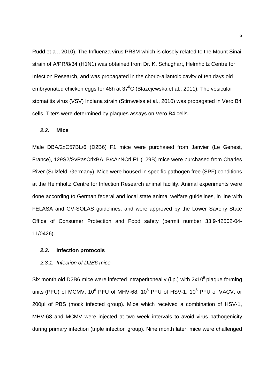Rudd et al., 2010). The Influenza virus PR8M which is closely related to the Mount Sinai strain of A/PR/8/34 (H1N1) was obtained from Dr. K. Schughart, Helmholtz Centre for Infection Research, and was propagated in the chorio-allantoic cavity of ten days old embryonated chicken eggs for 48h at  $37^{\circ}$ C (Blazejewska et al., 2011). The vesicular stomatitis virus (VSV) Indiana strain (Stirnweiss et al., 2010) was propagated in Vero B4 cells. Titers were determined by plaques assays on Vero B4 cells.

## **2.2. Mice**

Male DBA/2xC57BL/6 (D2B6) F1 mice were purchased from Janvier (Le Genest, France), 129S2/SvPasCrlxBALB/cAnNCrl F1 (129B) mice were purchased from Charles River (Sulzfeld, Germany). Mice were housed in specific pathogen free (SPF) conditions at the Helmholtz Centre for Infection Research animal facility. Animal experiments were done according to German federal and local state animal welfare guidelines, in line with FELASA and GV-SOLAS guidelines, and were approved by the Lower Saxony State Office of Consumer Protection and Food safety (permit number 33.9-42502-04- 11/0426).

### **2.3. Infection protocols**

#### 2.3.1. Infection of D2B6 mice

Six month old D2B6 mice were infected intraperitoneally (i.p.) with  $2x10<sup>5</sup>$  plaque forming units (PFU) of MCMV, 10<sup>6</sup> PFU of MHV-68, 10<sup>6</sup> PFU of HSV-1, 10<sup>6</sup> PFU of VACV, or 200µl of PBS (mock infected group). Mice which received a combination of HSV-1, MHV-68 and MCMV were injected at two week intervals to avoid virus pathogenicity during primary infection (triple infection group). Nine month later, mice were challenged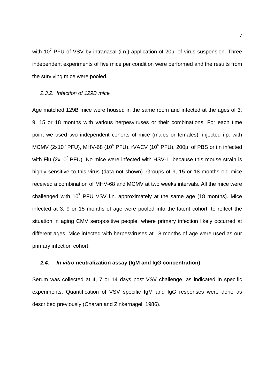with 10<sup>7</sup> PFU of VSV by intranasal (i.n.) application of 20 $\mu$ l of virus suspension. Three independent experiments of five mice per condition were performed and the results from the surviving mice were pooled.

# 2.3.2. Infection of 129B mice

Age matched 129B mice were housed in the same room and infected at the ages of 3, 9, 15 or 18 months with various herpesviruses or their combinations. For each time point we used two independent cohorts of mice (males or females), injected i.p. with MCMV (2x10<sup>5</sup> PFU), MHV-68 (10<sup>6</sup> PFU), rVACV (10<sup>6</sup> PFU), 200µl of PBS or i.n infected with Flu ( $2x10<sup>4</sup>$  PFU). No mice were infected with HSV-1, because this mouse strain is highly sensitive to this virus (data not shown). Groups of 9, 15 or 18 months old mice received a combination of MHV-68 and MCMV at two weeks intervals. All the mice were challenged with  $10^7$  PFU VSV i.n. approximately at the same age (18 months). Mice infected at 3, 9 or 15 months of age were pooled into the latent cohort, to reflect the situation in aging CMV seropositive people, where primary infection likely occurred at different ages. Mice infected with herpesviruses at 18 months of age were used as our primary infection cohort.

# **2.4. In vitro neutralization assay (IgM and IgG concentration)**

Serum was collected at 4, 7 or 14 days post VSV challenge, as indicated in specific experiments. Quantification of VSV specific IgM and IgG responses were done as described previously (Charan and Zinkernagel, 1986).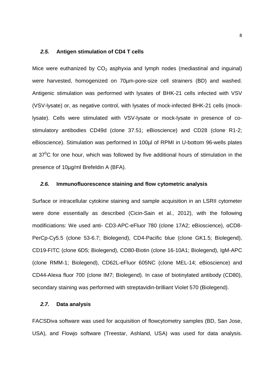#### **2.5. Antigen stimulation of CD4 T cells**

Mice were euthanized by  $CO<sub>2</sub>$  asphyxia and lymph nodes (mediastinal and inguinal) were harvested, homogenized on 70µm-pore-size cell strainers (BD) and washed. Antigenic stimulation was performed with lysates of BHK-21 cells infected with VSV (VSV-lysate) or, as negative control, with lysates of mock-infected BHK-21 cells (mocklysate). Cells were stimulated with VSV-lysate or mock-lysate in presence of costimulatory antibodies CD49d (clone 37.51; eBioscience) and CD28 (clone R1-2; eBioscience). Stimulation was performed in 100µl of RPMI in U-bottom 96-wells plates at  $37^{\circ}$ C for one hour, which was followed by five additional hours of stimulation in the presence of 10µg/ml Brefeldin A (BFA).

# **2.6. Immunofluorescence staining and flow cytometric analysis**

Surface or intracellular cytokine staining and sample acquisition in an LSRII cytometer were done essentially as described (Cicin-Sain et al., 2012), with the following modificiations: We used anti- CD3-APC-eFluor 780 (clone 17A2; eBioscience), αCD8- PerCp-Cy5.5 (clone 53-6.7; Biolegend), CD4-Pacific blue (clone GK1.5; Biolegend), CD19-FITC (clone 6D5; Biolegend), CD80-Biotin (clone 16-10A1; Biolegend), IgM-APC (clone RMM-1; Biolegend), CD62L-eFluor 605NC (clone MEL-14; eBioscience) and CD44-Alexa fluor 700 (clone IM7; Biolegend). In case of biotinylated antibody (CD80), secondary staining was performed with streptavidin-brilliant Violet 570 (Biolegend).

#### **2.7. Data analysis**

FACSDiva software was used for acquisition of flowcytometry samples (BD, San Jose, USA), and Flowjo software (Treestar, Ashland, USA) was used for data analysis.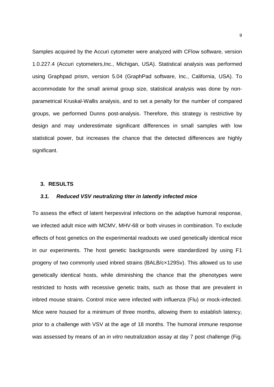Samples acquired by the Accuri cytometer were analyzed with CFlow software, version 1.0.227.4 (Accuri cytometers,Inc., Michigan, USA). Statistical analysis was performed using Graphpad prism, version 5.04 (GraphPad software, Inc., California, USA). To accommodate for the small animal group size, statistical analysis was done by nonparametrical Kruskal-Wallis analysis, and to set a penalty for the number of compared groups, we performed Dunns post-analysis. Therefore, this strategy is restrictive by design and may underestimate significant differences in small samples with low statistical power, but increases the chance that the detected differences are highly significant.

### **3. RESULTS**

## **3.1. Reduced VSV neutralizing titer in latently infected mice**

To assess the effect of latent herpesviral infections on the adaptive humoral response, we infected adult mice with MCMV, MHV-68 or both viruses in combination. To exclude effects of host genetics on the experimental readouts we used genetically identical mice in our experiments. The host genetic backgrounds were standardized by using F1 progeny of two commonly used inbred strains (BALB/c×129Sv). This allowed us to use genetically identical hosts, while diminishing the chance that the phenotypes were restricted to hosts with recessive genetic traits, such as those that are prevalent in inbred mouse strains. Control mice were infected with influenza (Flu) or mock-infected. Mice were housed for a minimum of three months, allowing them to establish latency, prior to a challenge with VSV at the age of 18 months. The humoral immune response was assessed by means of an *in vitro* neutralization assay at day 7 post challenge (Fig.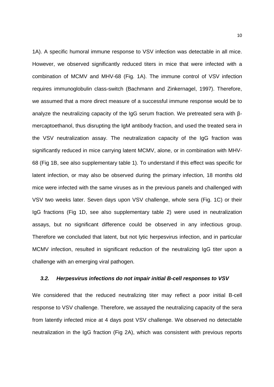1A). A specific humoral immune response to VSV infection was detectable in all mice. However, we observed significantly reduced titers in mice that were infected with a combination of MCMV and MHV-68 (Fig. 1A). The immune control of VSV infection requires immunoglobulin class-switch (Bachmann and Zinkernagel, 1997). Therefore, we assumed that a more direct measure of a successful immune response would be to analyze the neutralizing capacity of the IgG serum fraction. We pretreated sera with βmercaptoethanol, thus disrupting the IgM antibody fraction, and used the treated sera in the VSV neutralization assay. The neutralization capacity of the IgG fraction was significantly reduced in mice carrying latent MCMV, alone, or in combination with MHV-68 (Fig 1B, see also supplementary table 1). To understand if this effect was specific for latent infection, or may also be observed during the primary infection, 18 months old mice were infected with the same viruses as in the previous panels and challenged with VSV two weeks later. Seven days upon VSV challenge, whole sera (Fig. 1C) or their IgG fractions (Fig 1D, see also supplementary table 2) were used in neutralization assays, but no significant difference could be observed in any infectious group. Therefore we concluded that latent, but not lytic herpesvirus infection, and in particular MCMV infection, resulted in significant reduction of the neutralizing IgG titer upon a challenge with an emerging viral pathogen.

#### **3.2. Herpesvirus infections do not impair initial B-cell responses to VSV**

We considered that the reduced neutralizing titer may reflect a poor initial B-cell response to VSV challenge. Therefore, we assayed the neutralizing capacity of the sera from latently infected mice at 4 days post VSV challenge. We observed no detectable neutralization in the IgG fraction (Fig 2A), which was consistent with previous reports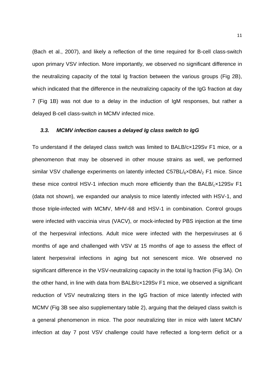(Bach et al., 2007), and likely a reflection of the time required for B-cell class-switch upon primary VSV infection. More importantly, we observed no significant difference in the neutralizing capacity of the total Ig fraction between the various groups (Fig 2B), which indicated that the difference in the neutralizing capacity of the IgG fraction at day 7 (Fig 1B) was not due to a delay in the induction of IgM responses, but rather a delayed B-cell class-switch in MCMV infected mice.

### **3.3. MCMV infection causes a delayed Ig class switch to IgG**

To understand if the delayed class switch was limited to BALB/c×129Sv F1 mice, or a phenomenon that may be observed in other mouse strains as well, we performed similar VSV challenge experiments on latently infected  $C57BL/6\times DBA/2$  F1 mice. Since these mice control HSV-1 infection much more efficiently than the  $BALB/cx129Sv F1$ (data not shown), we expanded our analysis to mice latently infected with HSV-1, and those triple-infected with MCMV, MHV-68 and HSV-1 in combination. Control groups were infected with vaccinia virus (VACV), or mock-infected by PBS injection at the time of the herpesviral infections. Adult mice were infected with the herpesviruses at 6 months of age and challenged with VSV at 15 months of age to assess the effect of latent herpesviral infections in aging but not senescent mice. We observed no significant difference in the VSV-neutralizing capacity in the total Ig fraction (Fig 3A). On the other hand, in line with data from BALB/c×129Sv F1 mice, we observed a significant reduction of VSV neutralizing titers in the IgG fraction of mice latently infected with MCMV (Fig 3B see also supplementary table 2), arguing that the delayed class switch is a general phenomenon in mice. The poor neutralizing titer in mice with latent MCMV infection at day 7 post VSV challenge could have reflected a long-term deficit or a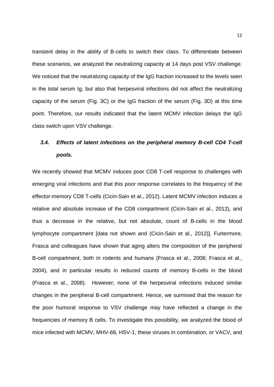transient delay in the ability of B-cells to switch their class. To differentiate between these scenarios, we analyzed the neutralizing capacity at 14 days post VSV challenge. We noticed that the neutralizing capacity of the IgG fraction increased to the levels seen in the total serum Ig, but also that herpesviral infections did not affect the neutralizing capacity of the serum (Fig. 3C) or the IgG fraction of the serum (Fig. 3D) at this time point. Therefore, our results indicated that the latent MCMV infection delays the IgG class switch upon VSV challenge.

# **3.4. Effects of latent infections on the peripheral memory B-cell CD4 T-cell pools.**

We recently showed that MCMV induces poor CD8 T-cell response to challenges with emerging viral infections and that this poor response correlates to the frequency of the effector-memory CD8 T-cells (Cicin-Sain et al., 2012). Latent MCMV infection induces a relative and absolute increase of the CD8 compartment (Cicin-Sain et al., 2012), and thus a decrease in the relative, but not absolute, count of B-cells in the blood lymphocyte compartment [data not shown and (Cicin-Sain et al., 2012)]. Furtermore, Frasca and colleagues have shown that aging alters the composition of the peripheral B-cell compartment, both in rodents and humans (Frasca et al., 2008; Frasca et al., 2004), and in particular results in reduced counts of memory B-cells in the blood (Frasca et al., 2008). However, none of the herpesviral infections induced similar changes in the peripheral B-cell compartment. Hence, we surmised that the reason for the poor humoral response to VSV challenge may have reflected a change in the frequencies of memory B cells. To investigate this possibility, we analyzed the blood of mice infected with MCMV, MHV-68, HSV-1, these viruses in combination, or VACV, and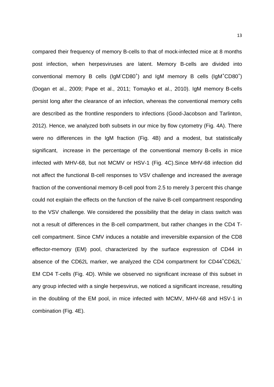compared their frequency of memory B-cells to that of mock-infected mice at 8 months post infection, when herpesviruses are latent. Memory B-cells are divided into conventional memory B cells (IgM<sup>-</sup>CD80<sup>+</sup>) and IgM memory B cells (IgM<sup>+</sup>CD80<sup>+</sup>) (Dogan et al., 2009; Pape et al., 2011; Tomayko et al., 2010). IgM memory B-cells persist long after the clearance of an infection, whereas the conventional memory cells are described as the frontline responders to infections (Good-Jacobson and Tarlinton, 2012). Hence, we analyzed both subsets in our mice by flow cytometry (Fig. 4A). There were no differences in the IgM fraction (Fig. 4B) and a modest, but statistically significant, increase in the percentage of the conventional memory B-cells in mice infected with MHV-68, but not MCMV or HSV-1 (Fig. 4C).Since MHV-68 infection did not affect the functional B-cell responses to VSV challenge and increased the average fraction of the conventional memory B-cell pool from 2.5 to merely 3 percent this change could not explain the effects on the function of the naïve B-cell compartment responding to the VSV challenge. We considered the possibility that the delay in class switch was not a result of differences in the B-cell compartment, but rather changes in the CD4 Tcell compartment. Since CMV induces a notable and irreversible expansion of the CD8 effector-memory (EM) pool, characterized by the surface expression of CD44 in absence of the CD62L marker, we analyzed the CD4 compartment for CD44<sup>+</sup>CD62L<sup>-</sup> EM CD4 T-cells (Fig. 4D). While we observed no significant increase of this subset in any group infected with a single herpesvirus, we noticed a significant increase, resulting in the doubling of the EM pool, in mice infected with MCMV, MHV-68 and HSV-1 in combination (Fig. 4E).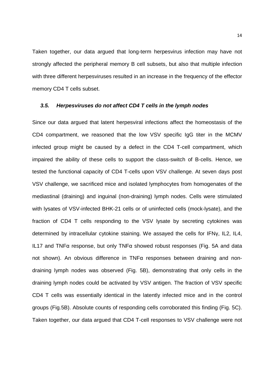Taken together, our data argued that long-term herpesvirus infection may have not strongly affected the peripheral memory B cell subsets, but also that multiple infection with three different herpesviruses resulted in an increase in the frequency of the effector memory CD4 T cells subset.

#### **3.5. Herpesviruses do not affect CD4 T cells in the lymph nodes**

Since our data argued that latent herpesviral infections affect the homeostasis of the CD4 compartment, we reasoned that the low VSV specific IgG titer in the MCMV infected group might be caused by a defect in the CD4 T-cell compartment, which impaired the ability of these cells to support the class-switch of B-cells. Hence, we tested the functional capacity of CD4 T-cells upon VSV challenge. At seven days post VSV challenge, we sacrificed mice and isolated lymphocytes from homogenates of the mediastinal (draining) and inguinal (non-draining) lymph nodes. Cells were stimulated with lysates of VSV-infected BHK-21 cells or of uninfected cells (mock-lysate), and the fraction of CD4 T cells responding to the VSV lysate by secreting cytokines was determined by intracellular cytokine staining. We assayed the cells for IFNγ, IL2, IL4, IL17 and TNFα response, but only TNFα showed robust responses (Fig. 5A and data not shown). An obvious difference in TNFα responses between draining and nondraining lymph nodes was observed (Fig. 5B), demonstrating that only cells in the draining lymph nodes could be activated by VSV antigen. The fraction of VSV specific CD4 T cells was essentially identical in the latently infected mice and in the control groups (Fig.5B). Absolute counts of responding cells corroborated this finding (Fig. 5C). Taken together, our data argued that CD4 T-cell responses to VSV challenge were not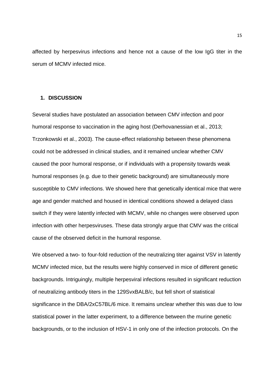affected by herpesvirus infections and hence not a cause of the low IgG titer in the serum of MCMV infected mice.

### **1. DISCUSSION**

Several studies have postulated an association between CMV infection and poor humoral response to vaccination in the aging host (Derhovanessian et al., 2013; Trzonkowski et al., 2003). The cause-effect relationship between these phenomena could not be addressed in clinical studies, and it remained unclear whether CMV caused the poor humoral response, or if individuals with a propensity towards weak humoral responses (e.g. due to their genetic background) are simultaneously more susceptible to CMV infections. We showed here that genetically identical mice that were age and gender matched and housed in identical conditions showed a delayed class switch if they were latently infected with MCMV, while no changes were observed upon infection with other herpesviruses. These data strongly argue that CMV was the critical cause of the observed deficit in the humoral response.

We observed a two- to four-fold reduction of the neutralizing titer against VSV in latently MCMV infected mice, but the results were highly conserved in mice of different genetic backgrounds. Intriguingly, multiple herpesviral infections resulted in significant reduction of neutralizing antibody titers in the 129SvxBALB/c, but fell short of statistical significance in the DBA/2xC57BL/6 mice. It remains unclear whether this was due to low statistical power in the latter experiment, to a difference between the murine genetic backgrounds, or to the inclusion of HSV-1 in only one of the infection protocols. On the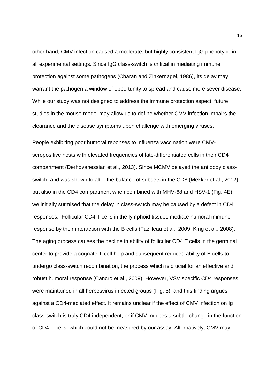other hand, CMV infection caused a moderate, but highly consistent IgG phenotype in all experimental settings. Since IgG class-switch is critical in mediating immune protection against some pathogens (Charan and Zinkernagel, 1986), its delay may warrant the pathogen a window of opportunity to spread and cause more sever disease. While our study was not designed to address the immune protection aspect, future studies in the mouse model may allow us to define whether CMV infection impairs the clearance and the disease symptoms upon challenge with emerging viruses.

People exhibiting poor humoral reponses to influenza vaccination were CMVseropositive hosts with elevated frequencies of late-differentiated cells in their CD4 compartment (Derhovanessian et al., 2013). Since MCMV delayed the antibody classswitch, and was shown to alter the balance of subsets in the CD8 (Mekker et al., 2012), but also in the CD4 compartment when combined with MHV-68 and HSV-1 (Fig. 4E), we initially surmised that the delay in class-switch may be caused by a defect in CD4 responses. Follicular CD4 T cells in the lymphoid tissues mediate humoral immune response by their interaction with the B cells (Fazilleau et al., 2009; King et al., 2008). The aging process causes the decline in ability of follicular CD4 T cells in the germinal center to provide a cognate T-cell help and subsequent reduced ability of B cells to undergo class-switch recombination, the process which is crucial for an effective and robust humoral response (Cancro et al., 2009). However, VSV specific CD4 responses were maintained in all herpesvirus infected groups (Fig. 5), and this finding argues against a CD4-mediated effect. It remains unclear if the effect of CMV infection on Ig class-switch is truly CD4 independent, or if CMV induces a subtle change in the function of CD4 T-cells, which could not be measured by our assay. Alternatively, CMV may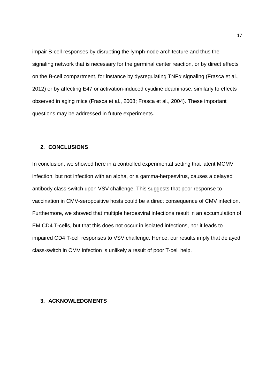impair B-cell responses by disrupting the lymph-node architecture and thus the signaling network that is necessary for the germinal center reaction, or by direct effects on the B-cell compartment, for instance by dysregulating TNFα signaling (Frasca et al., 2012) or by affecting E47 or activation-induced cytidine deaminase, similarly to effects observed in aging mice (Frasca et al., 2008; Frasca et al., 2004). These important questions may be addressed in future experiments.

# **2. CONCLUSIONS**

In conclusion, we showed here in a controlled experimental setting that latent MCMV infection, but not infection with an alpha, or a gamma-herpesvirus, causes a delayed antibody class-switch upon VSV challenge. This suggests that poor response to vaccination in CMV-seropositive hosts could be a direct consequence of CMV infection. Furthermore, we showed that multiple herpesviral infections result in an accumulation of EM CD4 T-cells, but that this does not occur in isolated infections, nor it leads to impaired CD4 T-cell responses to VSV challenge. Hence, our results imply that delayed class-switch in CMV infection is unlikely a result of poor T-cell help.

## **3. ACKNOWLEDGMENTS**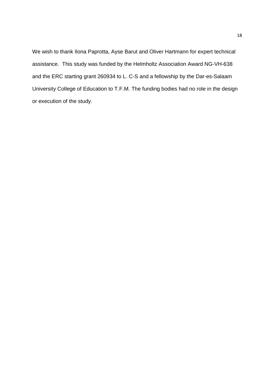We wish to thank Ilona Paprotta, Ayse Barut and Oliver Hartmann for expert technical assistance. This study was funded by the Helmholtz Association Award NG-VH-638 and the ERC starting grant 260934 to L. C-S and a fellowship by the Dar-es-Salaam University College of Education to T.F.M. The funding bodies had no role in the design or execution of the study.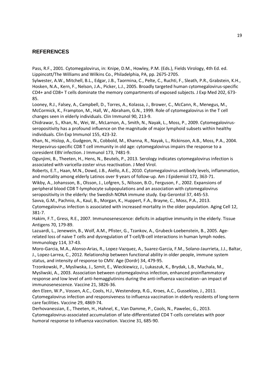# **REFERENCES**

Pass, R.F., 2001. Cytomegalovirus, in: Knipe, D.M., Howley, P.M. (Eds.), Fields Virology, 4th Ed. ed. Lippincott/The Williams and Wilkins Co., Philadelphia, PA, pp. 2675-2705.

Sylwester, A.W., Mitchell, B.L., Edgar, J.B., Taormina, C., Pelte, C., Ruchti, F., Sleath, P.R., Grabstein, K.H., Hosken, N.A., Kern, F., Nelson, J.A., Picker, L.J., 2005. Broadly targeted human cytomegalovirus-specific CD4+ and CD8+ T cells dominate the memory compartments of exposed subjects. J Exp Med 202, 673- 85.

Looney, R.J., Falsey, A., Campbell, D., Torres, A., Kolassa, J., Brower, C., McCann, R., Menegus, M., McCormick, K., Frampton, M., Hall, W., Abraham, G.N., 1999. Role of cytomegalovirus in the T cell changes seen in elderly individuals. Clin Immunol 90, 213-9.

Chidrawar, S., Khan, N., Wei, W., McLarnon, A., Smith, N., Nayak, L., Moss, P., 2009. Cytomegalovirusseropositivity has a profound influence on the magnitude of major lymphoid subsets within healthy individuals. Clin Exp Immunol 155, 423-32.

Khan, N., Hislop, A., Gudgeon, N., Cobbold, M., Khanna, R., Nayak, L., Rickinson, A.B., Moss, P.A., 2004. Herpesvirus-specific CD8 T cell immunity in old age: cytomegalovirus impairs the response to a coresident EBV infection. J Immunol 173, 7481-9.

Ogunjimi, B., Theeten, H., Hens, N., Beutels, P., 2013. Serology indicates cytomegalovirus infection is associated with varicella-zoster virus reactivation. J Med Virol.

Roberts, E.T., Haan, M.N., Dowd, J.B., Aiello, A.E., 2010. Cytomegalovirus antibody levels, inflammation, and mortality among elderly Latinos over 9 years of follow-up. Am J Epidemiol 172, 363-71.

Wikby, A., Johansson, B., Olsson, J., Lofgren, S., Nilsson, B.O., Ferguson, F., 2002. Expansions of peripheral blood CD8 T-lymphocyte subpopulations and an association with cytomegalovirus seropositivity in the elderly: the Swedish NONA immune study. Exp Gerontol 37, 445-53.

Savva, G.M., Pachnio, A., Kaul, B., Morgan, K., Huppert, F.A., Brayne, C., Moss, P.A., 2013. Cytomegalovirus infection is associated with increased mortality in the older population. Aging Cell 12, 381-7.

Hakim, F.T., Gress, R.E., 2007. Immunosenescence: deficits in adaptive immunity in the elderly. Tissue Antigens 70, 179-89.

Lazuardi, L., Jenewein, B., Wolf, A.M., Pfister, G., Tzankov, A., Grubeck-Loebenstein, B., 2005. Agerelated loss of naive T cells and dysregulation of T-cell/B-cell interactions in human lymph nodes. Immunology 114, 37-43.

Moro-Garcia, M.A., Alonso-Arias, R., Lopez-Vazquez, A., Suarez-Garcia, F.M., Solano-Jaurrieta, J.J., Baltar, J., Lopez-Larrea, C., 2012. Relationship between functional ability in older people, immune system status, and intensity of response to CMV. Age (Dordr) 34, 479-95.

Trzonkowski, P., Mysliwska, J., Szmit, E., Wieckiewicz, J., Lukaszuk, K., Brydak, L.B., Machala, M., Mysliwski, A., 2003. Association between cytomegalovirus infection, enhanced proinflammatory response and low level of anti-hemagglutinins during the anti-influenza vaccination--an impact of immunosenescence. Vaccine 21, 3826-36.

den Elzen, W.P., Vossen, A.C., Cools, H.J., Westendorp, R.G., Kroes, A.C., Gussekloo, J., 2011. Cytomegalovirus infection and responsiveness to influenza vaccination in elderly residents of long-term care facilities. Vaccine 29, 4869-74.

Derhovanessian, E., Theeten, H., Hahnel, K., Van Damme, P., Cools, N., Pawelec, G., 2013. Cytomegalovirus-associated accumulation of late-differentiated CD4 T-cells correlates with poor humoral response to influenza vaccination. Vaccine 31, 685-90.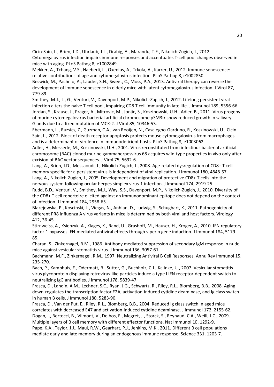Cicin-Sain, L., Brien, J.D., Uhrlaub, J.L., Drabig, A., Marandu, T.F., Nikolich-Zugich, J., 2012. Cytomegalovirus infection impairs immune responses and accentuates T-cell pool changes observed in mice with aging. PLoS Pathog 8, e1002849.

Mekker, A., Tchang, V.S., Haeberli, L., Oxenius, A., Trkola, A., Karrer, U., 2012. Immune senescence: relative contributions of age and cytomegalovirus infection. PLoS Pathog 8, e1002850.

Beswick, M., Pachnio, A., Lauder, S.N., Sweet, C., Moss, P.A., 2013. Antiviral therapy can reverse the development of immune senescence in elderly mice with latent cytomegalovirus infection. J Virol 87, 779-89.

Smithey, M.J., Li, G., Venturi, V., Davenport, M.P., Nikolich-Zugich, J., 2012. Lifelong persistent viral infection alters the naive T cell pool, impairing CD8 T cell immunity in late life. J Immunol 189, 5356-66. Jordan, S., Krause, J., Prager, A., Mitrovic, M., Jonjic, S., Koszinowski, U.H., Adler, B., 2011. Virus progeny of murine cytomegalovirus bacterial artificial chromosome pSM3fr show reduced growth in salivary Glands due to a fixed mutation of MCK-2. J Virol 85, 10346-53.

Ebermann, L., Ruzsics, Z., Guzman, C.A., van Rooijen, N., Casalegno-Garduno, R., Koszinowski, U., Cicin-Sain, L., 2012. Block of death-receptor apoptosis protects mouse cytomegalovirus from macrophages and is a determinant of virulence in immunodeficient hosts. PLoS Pathog 8, e1003062.

Adler, H., Messerle, M., Koszinowski, U.H., 2001. Virus reconstituted from infectious bacterial artificial chromosome (BAC)-cloned murine gammaherpesvirus 68 acquires wild-type properties in vivo only after excision of BAC vector sequences. J Virol 75, 5692-6.

Lang, A., Brien, J.D., Messaoudi, I., Nikolich-Zugich, J., 2008. Age-related dysregulation of CD8+ T cell memory specific for a persistent virus is independent of viral replication. J Immunol 180, 4848-57. Lang, A., Nikolich-Zugich, J., 2005. Development and migration of protective CD8+ T cells into the nervous system following ocular herpes simplex virus-1 infection. J Immunol 174, 2919-25.

Rudd, B.D., Venturi, V., Smithey, M.J., Way, S.S., Davenport, M.P., Nikolich-Zugich, J., 2010. Diversity of the CD8+ T cell repertoire elicited against an immunodominant epitope does not depend on the context of infection. J Immunol 184, 2958-65.

Blazejewska, P., Koscinski, L., Viegas, N., Anhlan, D., Ludwig, S., Schughart, K., 2011. Pathogenicity of different PR8 influenza A virus variants in mice is determined by both viral and host factors. Virology 412, 36-45.

Stirnweiss, A., Ksienzyk, A., Klages, K., Rand, U., Grashoff, M., Hauser, H., Kroger, A., 2010. IFN regulatory factor-1 bypasses IFN-mediated antiviral effects through viperin gene induction. J Immunol 184, 5179- 85.

Charan, S., Zinkernagel, R.M., 1986. Antibody mediated suppression of secondary IgM response in nude mice against vesicular stomatitis virus. J Immunol 136, 3057-61.

Bachmann, M.F., Zinkernagel, R.M., 1997. Neutralizing Antiviral B Cell Responses. Annu Rev Immunol 15, 235-270.

Bach, P., Kamphuis, E., Odermatt, B., Sutter, G., Buchholz, C.J., Kalinke, U., 2007. Vesicular stomatitis virus glycoprotein displaying retrovirus-like particles induce a type I IFN receptor-dependent switch to neutralizing IgG antibodies. J Immunol 178, 5839-47.

Frasca, D., Landin, A.M., Lechner, S.C., Ryan, J.G., Schwartz, R., Riley, R.L., Blomberg, B.B., 2008. Aging down-regulates the transcription factor E2A, activation-induced cytidine deaminase, and Ig class switch in human B cells. J Immunol 180, 5283-90.

Frasca, D., Van der Put, E., Riley, R.L., Blomberg, B.B., 2004. Reduced Ig class switch in aged mice correlates with decreased E47 and activation-induced cytidine deaminase. J Immunol 172, 2155-62.

Dogan, I., Bertocci, B., Vilmont, V., Delbos, F., Megret, J., Storck, S., Reynaud, C.A., Weill, J.C., 2009. Multiple layers of B cell memory with different effector functions. Nat Immunol 10, 1292-9. Pape, K.A., Taylor, J.J., Maul, R.W., Gearhart, P.J., Jenkins, M.K., 2011. Different B cell populations mediate early and late memory during an endogenous immune response. Science 331, 1203-7.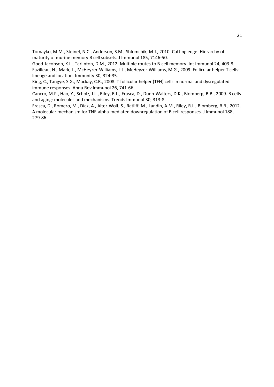Tomayko, M.M., Steinel, N.C., Anderson, S.M., Shlomchik, M.J., 2010. Cutting edge: Hierarchy of maturity of murine memory B cell subsets. J Immunol 185, 7146-50.

Good-Jacobson, K.L., Tarlinton, D.M., 2012. Multiple routes to B-cell memory. Int Immunol 24, 403-8. Fazilleau, N., Mark, L., McHeyzer-Williams, L.J., McHeyzer-Williams, M.G., 2009. Follicular helper T cells: lineage and location. Immunity 30, 324-35.

King, C., Tangye, S.G., Mackay, C.R., 2008. T follicular helper (TFH) cells in normal and dysregulated immune responses. Annu Rev Immunol 26, 741-66.

Cancro, M.P., Hao, Y., Scholz, J.L., Riley, R.L., Frasca, D., Dunn-Walters, D.K., Blomberg, B.B., 2009. B cells and aging: molecules and mechanisms. Trends Immunol 30, 313-8.

Frasca, D., Romero, M., Diaz, A., Alter-Wolf, S., Ratliff, M., Landin, A.M., Riley, R.L., Blomberg, B.B., 2012. A molecular mechanism for TNF-alpha-mediated downregulation of B cell responses. J Immunol 188, 279-86.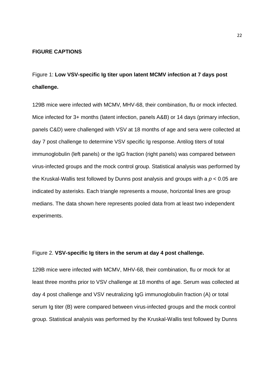#### **FIGURE CAPTIONS**

Figure 1: **Low VSV-specific Ig titer upon latent MCMV infection at 7 days post challenge.** 

129B mice were infected with MCMV, MHV-68, their combination, flu or mock infected. Mice infected for 3+ months (latent infection, panels A&B) or 14 days (primary infection, panels C&D) were challenged with VSV at 18 months of age and sera were collected at day 7 post challenge to determine VSV specific Ig response. Antilog titers of total immunoglobulin (left panels) or the IgG fraction (right panels) was compared between virus-infected groups and the mock control group. Statistical analysis was performed by the Kruskal-Wallis test followed by Dunns post analysis and groups with a  $p < 0.05$  are indicated by asterisks. Each triangle represents a mouse, horizontal lines are group medians. The data shown here represents pooled data from at least two independent experiments.

## Figure 2. **VSV-specific Ig titers in the serum at day 4 post challenge.**

129B mice were infected with MCMV, MHV-68, their combination, flu or mock for at least three months prior to VSV challenge at 18 months of age. Serum was collected at day 4 post challenge and VSV neutralizing IgG immunoglobulin fraction (A) or total serum Ig titer (B) were compared between virus-infected groups and the mock control group. Statistical analysis was performed by the Kruskal-Wallis test followed by Dunns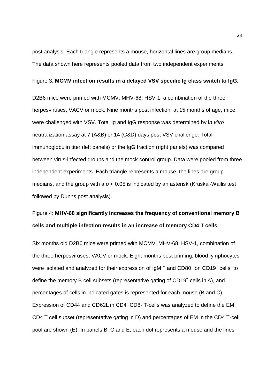post analysis. Each triangle represents a mouse, horizontal lines are group medians. The data shown here represents pooled data from two independent experiments

#### Figure 3. **MCMV infection results in a delayed VSV specific Ig class switch to IgG.**

D2B6 mice were primed with MCMV, MHV-68, HSV-1, a combination of the three herpesviruses, VACV or mock. Nine months post infection, at 15 months of age, mice were challenged with VSV. Total Ig and IgG response was determined by in vitro neutralization assay at 7 (A&B) or 14 (C&D) days post VSV challenge. Total immunoglobulin titer (left panels) or the IgG fraction (right panels) was compared between virus-infected groups and the mock control group. Data were pooled from three independent experiments. Each triangle represents a mouse, the lines are group medians, and the group with a  $p < 0.05$  is indicated by an asterisk (Kruskal-Wallis test followed by Dunns post analysis).

# Figure 4: **MHV-68 significantly increases the frequency of conventional memory B cells and multiple infection results in an increase of memory CD4 T cells.**

Six months old D2B6 mice were primed with MCMV, MHV-68, HSV-1, combination of the three herpesviruses, VACV or mock. Eight months post priming, blood lymphocytes were isolated and analyzed for their expression of  $IgM^{+/}$  and CD80<sup>+</sup> on CD19<sup>+</sup> cells, to define the memory B cell subsets (representative gating of CD19<sup>+</sup> cells in A), and percentages of cells in indicated gates is represented for each mouse (B and C). Expression of CD44 and CD62L in CD4+CD8- T-cells was analyzed to define the EM CD4 T cell subset (representative gating in D) and percentages of EM in the CD4 T-cell pool are shown (E). In panels B, C and E, each dot represents a mouse and the lines